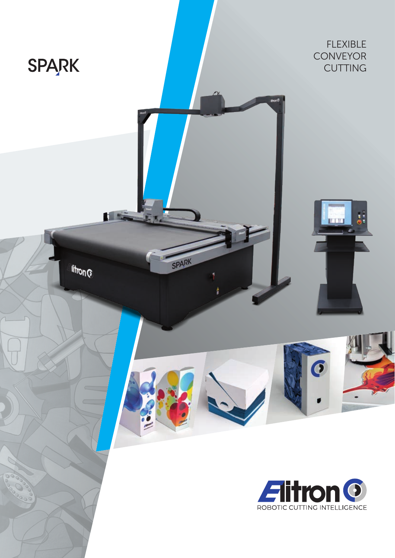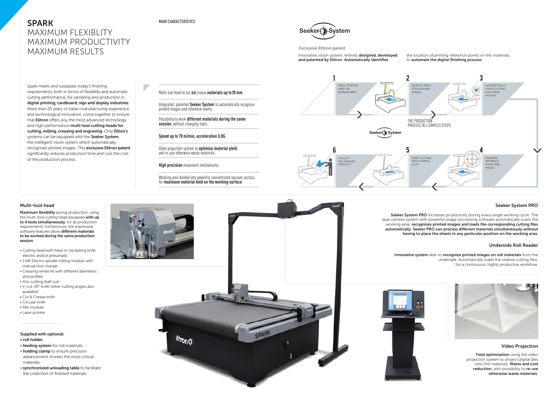Spark meets and surpasses today's finishing requirements, both in terms of flexibility and automatic cutting performance, for sampling and production in digital printing, cardboard, sign and display industries. More than 25 years of Italian manufacturing experience, and technological innovation, come together to ensure that **Elitron** offers you the most advanced technology and high-performance multi-tool cutting heads for cutting, milling, creasing and engraving. Only Eliton's systems can be equipped with the Seeker System, the intelligent vision system which automatically recognises printed images. This exclusive Elitron patent significantly reduces production time and cuts the cost of the production process.

> Yield optimisation using the video projection system to project digital dies onto the materials. Waste and cost reduction, with possibility to re-use otherwise waste materials.

#### Supplied with optional:

Maximum flexibility during production, using the multi-tool cutting head equipped with up to 4 tools simultaneously, for all production requirements: furthermore, the impressive software features allow different materials to be worked during the same production session.

- roll holder;
- feeding system for roll materials;
- holding clamp to ensure precision advancement of even the most critical materials;
- synchronized unloading table to facilitate the collection of finished materials.





Innovative vision system, entirely designed, developed and patented by Elitron. Automatically identifies

# SPARK MAXIMUM FLEXIBLITY MAXIMUM PRODUCTIVITY MAXIMUM RESULTS

Seeker System PRO increases productivity during every single working cycle. The dual camera system with powerful image processing software automatically scans the working area, recognises printed images and loads the corresponding cutting files automatically. Seeker PRO can process different materials simultaneously without having to place the sheets in any particular position on the working area.

# Video Projection



Integrated, patented **Seeker System** to automatically recognise printed images and reference marks.

- Cutting head with fixed or oscillating knife, electric and/or pneumatic
- 1 kW Electro spindle milling module with manual tool change
- Creasing wheel kit with different diameters and profiles
- Kiss-cutting (half cut)
- V-cut, 45° knife (other cutting angles also available)
- Cut & Crease knife
- Circular knife
- Pen module
- Laser pointer



# Seeker System PRO

# Underside Roll Reader

Exclusive Elitron patent



Multi-tool head to cut and crease **materials up to**2**0 mm**.

Possibility to work **different materials during the same session**, without changing tools.

**Speed up to 70 m/min, acceleration 0,8G.**

Video projection system to **optimise material yield**, and re-use otherwise waste materials.

**High precision** movement mechanisms.

Working area divided into powerful concentrated vacuum sectors, for **maximum material hold on the working surface**.

### MAIN CHARACTERISTICS



Innovative system able to recognise printed images on roll materials from the underside. Automatically loads the relative cutting files, for a continuous, highly productive workflow.





#### the location of printing reference points on the materials, to automate the digital finishing process.